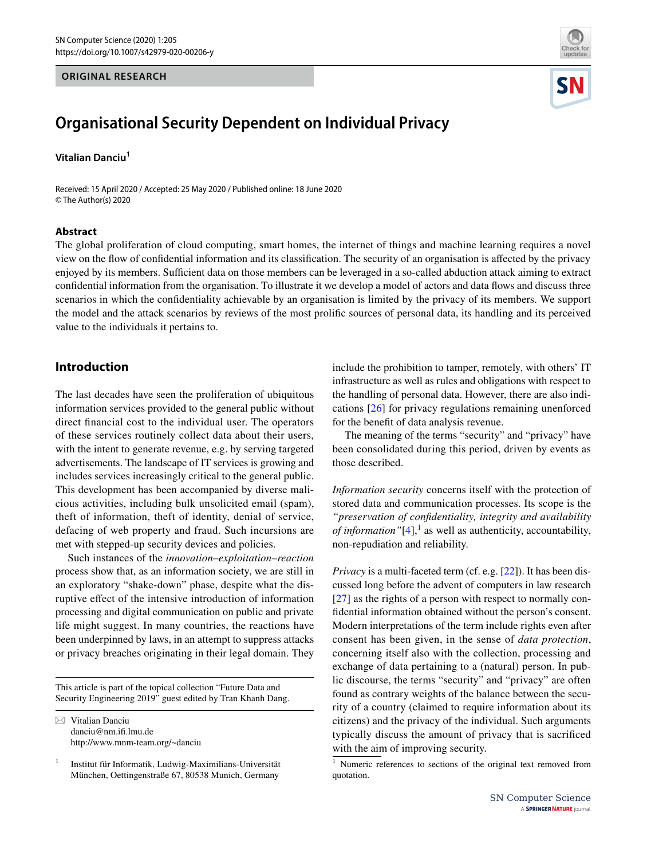### **ORIGINAL RESEARCH**



# **Organisational Security Dependent on Individual Privacy**

**Vitalian Danciu1**

Received: 15 April 2020 / Accepted: 25 May 2020 / Published online: 18 June 2020 © The Author(s) 2020

#### **Abstract**

The global proliferation of cloud computing, smart homes, the internet of things and machine learning requires a novel view on the fow of confdential information and its classifcation. The security of an organisation is afected by the privacy enjoyed by its members. Sufficient data on those members can be leveraged in a so-called abduction attack aiming to extract confdential information from the organisation. To illustrate it we develop a model of actors and data fows and discuss three scenarios in which the confdentiality achievable by an organisation is limited by the privacy of its members. We support the model and the attack scenarios by reviews of the most prolifc sources of personal data, its handling and its perceived value to the individuals it pertains to.

### **Introduction**

The last decades have seen the proliferation of ubiquitous information services provided to the general public without direct fnancial cost to the individual user. The operators of these services routinely collect data about their users, with the intent to generate revenue, e.g. by serving targeted advertisements. The landscape of IT services is growing and includes services increasingly critical to the general public. This development has been accompanied by diverse malicious activities, including bulk unsolicited email (spam), theft of information, theft of identity, denial of service, defacing of web property and fraud. Such incursions are met with stepped-up security devices and policies.

Such instances of the *innovation–exploitation–reaction* process show that, as an information society, we are still in an exploratory "shake-down" phase, despite what the disruptive efect of the intensive introduction of information processing and digital communication on public and private life might suggest. In many countries, the reactions have been underpinned by laws, in an attempt to suppress attacks or privacy breaches originating in their legal domain. They

This article is part of the topical collection "Future Data and Security Engineering 2019" guest edited by Tran Khanh Dang.

 $\boxtimes$  Vitalian Danciu danciu@nm.if.lmu.de http://www.mnm-team.org/~danciu include the prohibition to tamper, remotely, with others' IT infrastructure as well as rules and obligations with respect to the handling of personal data. However, there are also indications [\[26\]](#page-9-0) for privacy regulations remaining unenforced for the beneft of data analysis revenue.

The meaning of the terms "security" and "privacy" have been consolidated during this period, driven by events as those described.

*Information security* concerns itself with the protection of stored data and communication processes. Its scope is the *"preservation of confdentiality, integrity and availability of information*  $\lceil 4 \rceil$ , as well as authenticity, accountability, non-repudiation and reliability.

*Privacy* is a multi-faceted term (cf. e.g. [\[22](#page-9-1)]). It has been discussed long before the advent of computers in law research [[27\]](#page-9-2) as the rights of a person with respect to normally confdential information obtained without the person's consent. Modern interpretations of the term include rights even after consent has been given, in the sense of *data protection*, concerning itself also with the collection, processing and exchange of data pertaining to a (natural) person. In public discourse, the terms "security" and "privacy" are often found as contrary weights of the balance between the security of a country (claimed to require information about its citizens) and the privacy of the individual. Such arguments typically discuss the amount of privacy that is sacrifced with the aim of improving security.

 $1$  Institut für Informatik, Ludwig-Maximilians-Universität München, Oettingenstraße 67, 80538 Munich, Germany

<span id="page-0-0"></span><sup>&</sup>lt;sup>1</sup> Numeric references to sections of the original text removed from quotation.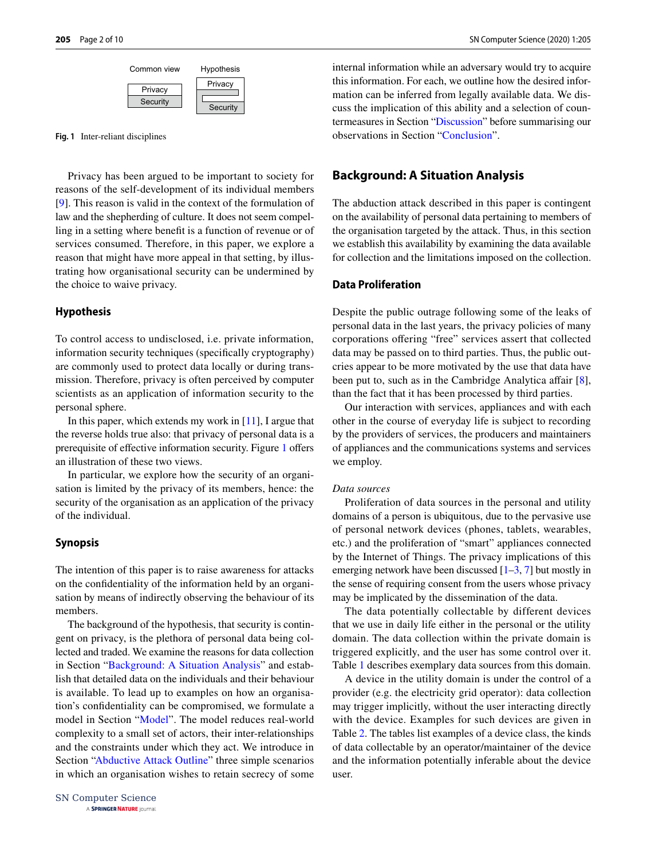

<span id="page-1-0"></span>**Fig. 1** Inter-reliant disciplines

Privacy has been argued to be important to society for reasons of the self-development of its individual members [\[9](#page-8-1)]. This reason is valid in the context of the formulation of law and the shepherding of culture. It does not seem compelling in a setting where beneft is a function of revenue or of services consumed. Therefore, in this paper, we explore a reason that might have more appeal in that setting, by illustrating how organisational security can be undermined by the choice to waive privacy.

#### **Hypothesis**

To control access to undisclosed, i.e. private information, information security techniques (specifcally cryptography) are commonly used to protect data locally or during transmission. Therefore, privacy is often perceived by computer scientists as an application of information security to the personal sphere.

In this paper, which extends my work in  $[11]$  $[11]$ , I argue that the reverse holds true also: that privacy of personal data is a prerequisite of effective information security. Figure [1](#page-1-0) offers an illustration of these two views.

In particular, we explore how the security of an organisation is limited by the privacy of its members, hence: the security of the organisation as an application of the privacy of the individual.

### **Synopsis**

The intention of this paper is to raise awareness for attacks on the confdentiality of the information held by an organisation by means of indirectly observing the behaviour of its members.

The background of the hypothesis, that security is contingent on privacy, is the plethora of personal data being collected and traded. We examine the reasons for data collection in Section "[Background: A Situation Analysis"](#page-1-1) and establish that detailed data on the individuals and their behaviour is available. To lead up to examples on how an organisation's confdentiality can be compromised, we formulate a model in Section "[Model](#page-4-0)". The model reduces real-world complexity to a small set of actors, their inter-relationships and the constraints under which they act. We introduce in Section ["Abductive Attack Outline"](#page-5-0) three simple scenarios in which an organisation wishes to retain secrecy of some internal information while an adversary would try to acquire this information. For each, we outline how the desired information can be inferred from legally available data. We discuss the implication of this ability and a selection of countermeasures in Section ["Discussion](#page-7-0)" before summarising our observations in Section ["Conclusion](#page-8-2)".

### <span id="page-1-1"></span>**Background: A Situation Analysis**

The abduction attack described in this paper is contingent on the availability of personal data pertaining to members of the organisation targeted by the attack. Thus, in this section we establish this availability by examining the data available for collection and the limitations imposed on the collection.

### <span id="page-1-2"></span>**Data Proliferation**

Despite the public outrage following some of the leaks of personal data in the last years, the privacy policies of many corporations ofering "free" services assert that collected data may be passed on to third parties. Thus, the public outcries appear to be more motivated by the use that data have been put to, such as in the Cambridge Analytica affair  $[8]$  $[8]$ , than the fact that it has been processed by third parties.

Our interaction with services, appliances and with each other in the course of everyday life is subject to recording by the providers of services, the producers and maintainers of appliances and the communications systems and services we employ.

#### *Data sources*

Proliferation of data sources in the personal and utility domains of a person is ubiquitous, due to the pervasive use of personal network devices (phones, tablets, wearables, etc.) and the proliferation of "smart" appliances connected by the Internet of Things. The privacy implications of this emerging network have been discussed  $[1–3, 7]$  $[1–3, 7]$  $[1–3, 7]$  $[1–3, 7]$  but mostly in the sense of requiring consent from the users whose privacy may be implicated by the dissemination of the data.

The data potentially collectable by different devices that we use in daily life either in the personal or the utility domain. The data collection within the private domain is triggered explicitly, and the user has some control over it. Table [1](#page-2-0) describes exemplary data sources from this domain.

A device in the utility domain is under the control of a provider (e.g. the electricity grid operator): data collection may trigger implicitly, without the user interacting directly with the device. Examples for such devices are given in Table [2.](#page-2-1) The tables list examples of a device class, the kinds of data collectable by an operator/maintainer of the device and the information potentially inferable about the device user.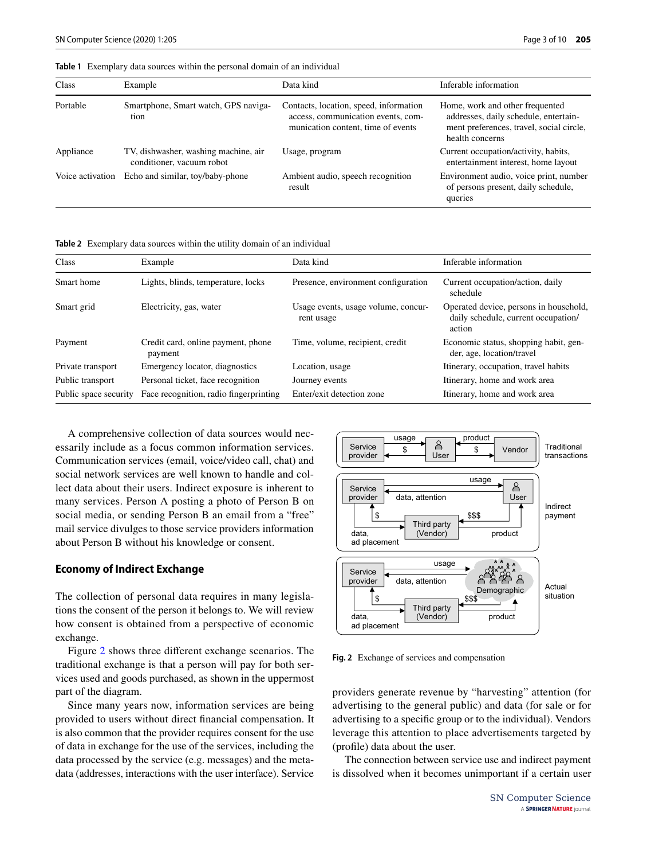| Class            | Example                                                           | Data kind                                                                                                          | Inferable information                                                                                                                   |
|------------------|-------------------------------------------------------------------|--------------------------------------------------------------------------------------------------------------------|-----------------------------------------------------------------------------------------------------------------------------------------|
| Portable         | Smartphone, Smart watch, GPS naviga-<br>tion                      | Contacts, location, speed, information<br>access, communication events, com-<br>munication content, time of events | Home, work and other frequented<br>addresses, daily schedule, entertain-<br>ment preferences, travel, social circle,<br>health concerns |
| Appliance        | TV, dishwasher, washing machine, air<br>conditioner, vacuum robot | Usage, program                                                                                                     | Current occupation/activity, habits,<br>entertainment interest, home layout                                                             |
| Voice activation | Echo and similar, toy/baby-phone                                  | Ambient audio, speech recognition<br>result                                                                        | Environment audio, voice print, number<br>of persons present, daily schedule,<br>queries                                                |

<span id="page-2-0"></span>**Table 1** Exemplary data sources within the personal domain of an individual

<span id="page-2-1"></span>**Table 2** Exemplary data sources within the utility domain of an individual

| <b>Class</b>          | Example                                       | Data kind                                         | Inferable information                                                                   |
|-----------------------|-----------------------------------------------|---------------------------------------------------|-----------------------------------------------------------------------------------------|
| Smart home            | Lights, blinds, temperature, locks            | Presence, environment configuration               | Current occupation/action, daily<br>schedule                                            |
| Smart grid            | Electricity, gas, water                       | Usage events, usage volume, concur-<br>rent usage | Operated device, persons in household,<br>daily schedule, current occupation/<br>action |
| Payment               | Credit card, online payment, phone<br>payment | Time, volume, recipient, credit                   | Economic status, shopping habit, gen-<br>der, age, location/travel                      |
| Private transport     | Emergency locator, diagnostics                | Location, usage                                   | Itinerary, occupation, travel habits                                                    |
| Public transport      | Personal ticket, face recognition             | Journey events                                    | Itinerary, home and work area                                                           |
| Public space security | Face recognition, radio fingerprinting        | Enter/exit detection zone                         | Itinerary, home and work area                                                           |

A comprehensive collection of data sources would necessarily include as a focus common information services. Communication services (email, voice/video call, chat) and social network services are well known to handle and collect data about their users. Indirect exposure is inherent to many services. Person A posting a photo of Person B on social media, or sending Person B an email from a "free" mail service divulges to those service providers information about Person B without his knowledge or consent.

#### **Economy of Indirect Exchange**

The collection of personal data requires in many legislations the consent of the person it belongs to. We will review how consent is obtained from a perspective of economic exchange.

Figure [2](#page-2-2) shows three diferent exchange scenarios. The traditional exchange is that a person will pay for both services used and goods purchased, as shown in the uppermost part of the diagram.

Since many years now, information services are being provided to users without direct fnancial compensation. It is also common that the provider requires consent for the use of data in exchange for the use of the services, including the data processed by the service (e.g. messages) and the metadata (addresses, interactions with the user interface). Service



<span id="page-2-2"></span>**Fig. 2** Exchange of services and compensation

providers generate revenue by "harvesting" attention (for advertising to the general public) and data (for sale or for advertising to a specifc group or to the individual). Vendors leverage this attention to place advertisements targeted by (profle) data about the user.

The connection between service use and indirect payment is dissolved when it becomes unimportant if a certain user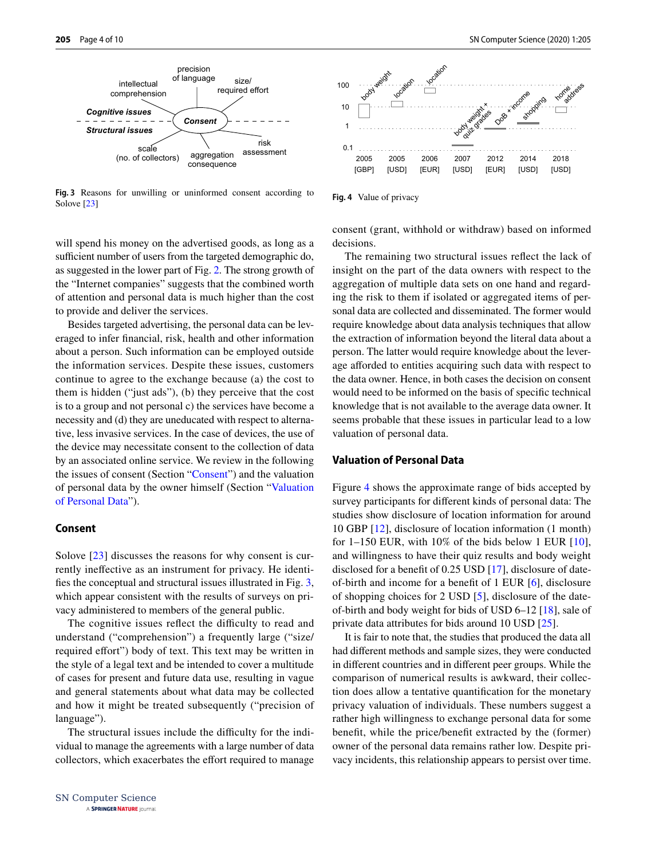<span id="page-3-2"></span>**Fig. 3** Reasons for unwilling or uninformed consent according to Solove [\[23\]](#page-9-4)

will spend his money on the advertised goods, as long as a sufficient number of users from the targeted demographic do, as suggested in the lower part of Fig. [2.](#page-2-2) The strong growth of the "Internet companies" suggests that the combined worth of attention and personal data is much higher than the cost to provide and deliver the services.

Besides targeted advertising, the personal data can be leveraged to infer fnancial, risk, health and other information about a person. Such information can be employed outside the information services. Despite these issues, customers continue to agree to the exchange because (a) the cost to them is hidden ("just ads"), (b) they perceive that the cost is to a group and not personal c) the services have become a necessity and (d) they are uneducated with respect to alternative, less invasive services. In the case of devices, the use of the device may necessitate consent to the collection of data by an associated online service. We review in the following the issues of consent (Section "[Consent"](#page-3-0)) and the valuation of personal data by the owner himself (Section "[Valuation](#page-3-1) [of Personal Data](#page-3-1)").

### <span id="page-3-0"></span>**Consent**

Solove [[23\]](#page-9-4) discusses the reasons for why consent is currently inefective as an instrument for privacy. He identifes the conceptual and structural issues illustrated in Fig. [3,](#page-3-2) which appear consistent with the results of surveys on privacy administered to members of the general public.

The cognitive issues reflect the difficulty to read and understand ("comprehension") a frequently large ("size/ required effort") body of text. This text may be written in the style of a legal text and be intended to cover a multitude of cases for present and future data use, resulting in vague and general statements about what data may be collected and how it might be treated subsequently ("precision of language").

The structural issues include the difficulty for the individual to manage the agreements with a large number of data collectors, which exacerbates the efort required to manage



<span id="page-3-3"></span>**Fig. 4** Value of privacy

consent (grant, withhold or withdraw) based on informed decisions.

The remaining two structural issues refect the lack of insight on the part of the data owners with respect to the aggregation of multiple data sets on one hand and regarding the risk to them if isolated or aggregated items of personal data are collected and disseminated. The former would require knowledge about data analysis techniques that allow the extraction of information beyond the literal data about a person. The latter would require knowledge about the leverage afforded to entities acquiring such data with respect to the data owner. Hence, in both cases the decision on consent would need to be informed on the basis of specifc technical knowledge that is not available to the average data owner. It seems probable that these issues in particular lead to a low valuation of personal data.

### <span id="page-3-1"></span>**Valuation of Personal Data**

Figure [4](#page-3-3) shows the approximate range of bids accepted by survey participants for diferent kinds of personal data: The studies show disclosure of location information for around 10 GBP [[12\]](#page-9-5), disclosure of location information (1 month) for 1–150 EUR, with  $10\%$  $10\%$  of the bids below 1 EUR [10], and willingness to have their quiz results and body weight disclosed for a beneft of 0.25 USD [\[17](#page-9-6)], disclosure of dateof-birth and income for a beneft of 1 EUR [\[6](#page-8-8)], disclosure of shopping choices for 2 USD [\[5](#page-8-9)], disclosure of the dateof-birth and body weight for bids of USD 6–12 [[18\]](#page-9-7), sale of private data attributes for bids around 10 USD [[25\]](#page-9-8).

It is fair to note that, the studies that produced the data all had diferent methods and sample sizes, they were conducted in diferent countries and in diferent peer groups. While the comparison of numerical results is awkward, their collection does allow a tentative quantifcation for the monetary privacy valuation of individuals. These numbers suggest a rather high willingness to exchange personal data for some beneft, while the price/beneft extracted by the (former) owner of the personal data remains rather low. Despite privacy incidents, this relationship appears to persist over time.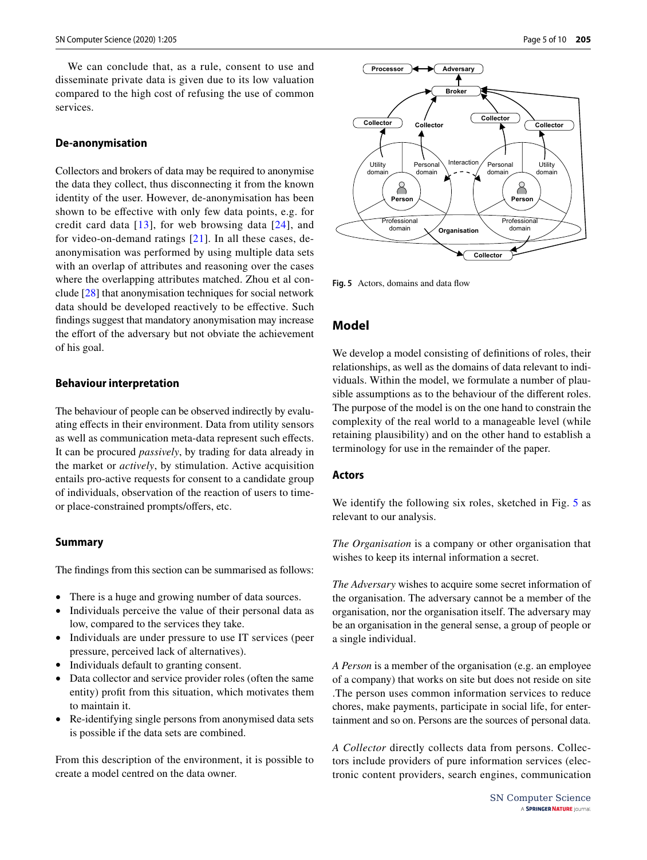We can conclude that, as a rule, consent to use and disseminate private data is given due to its low valuation compared to the high cost of refusing the use of common services.

### **De‑anonymisation**

Collectors and brokers of data may be required to anonymise the data they collect, thus disconnecting it from the known identity of the user. However, de-anonymisation has been shown to be efective with only few data points, e.g. for credit card data  $[13]$  $[13]$ , for web browsing data  $[24]$ , and for video-on-demand ratings [[21](#page-9-11)]. In all these cases, deanonymisation was performed by using multiple data sets with an overlap of attributes and reasoning over the cases where the overlapping attributes matched. Zhou et al conclude [\[28](#page-9-12)] that anonymisation techniques for social network data should be developed reactively to be effective. Such fndings suggest that mandatory anonymisation may increase the effort of the adversary but not obviate the achievement of his goal.

#### **Behaviour interpretation**

The behaviour of people can be observed indirectly by evaluating efects in their environment. Data from utility sensors as well as communication meta-data represent such effects. It can be procured *passively*, by trading for data already in the market or *actively*, by stimulation. Active acquisition entails pro-active requests for consent to a candidate group of individuals, observation of the reaction of users to timeor place-constrained prompts/ofers, etc.

### **Summary**

The fndings from this section can be summarised as follows:

- There is a huge and growing number of data sources.
- Individuals perceive the value of their personal data as low, compared to the services they take.
- Individuals are under pressure to use IT services (peer pressure, perceived lack of alternatives).
- Individuals default to granting consent.
- Data collector and service provider roles (often the same entity) proft from this situation, which motivates them to maintain it.
- Re-identifying single persons from anonymised data sets is possible if the data sets are combined.

From this description of the environment, it is possible to create a model centred on the data owner.



<span id="page-4-1"></span>Fig. 5 Actors, domains and data flow

### <span id="page-4-0"></span>**Model**

We develop a model consisting of defnitions of roles, their relationships, as well as the domains of data relevant to individuals. Within the model, we formulate a number of plausible assumptions as to the behaviour of the diferent roles. The purpose of the model is on the one hand to constrain the complexity of the real world to a manageable level (while retaining plausibility) and on the other hand to establish a terminology for use in the remainder of the paper.

#### **Actors**

We identify the following six roles, sketched in Fig. [5](#page-4-1) as relevant to our analysis.

*The Organisation* is a company or other organisation that wishes to keep its internal information a secret.

*The Adversary* wishes to acquire some secret information of the organisation. The adversary cannot be a member of the organisation, nor the organisation itself. The adversary may be an organisation in the general sense, a group of people or a single individual.

*A Person* is a member of the organisation (e.g. an employee of a company) that works on site but does not reside on site .The person uses common information services to reduce chores, make payments, participate in social life, for entertainment and so on. Persons are the sources of personal data.

*A Collector* directly collects data from persons. Collectors include providers of pure information services (electronic content providers, search engines, communication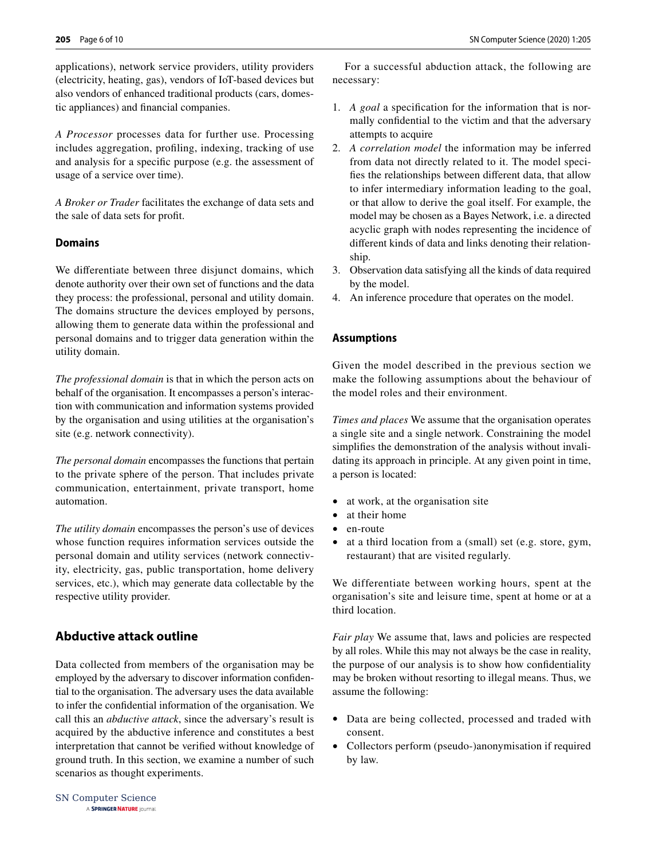applications), network service providers, utility providers (electricity, heating, gas), vendors of IoT-based devices but also vendors of enhanced traditional products (cars, domestic appliances) and fnancial companies.

*A Processor* processes data for further use. Processing includes aggregation, profling, indexing, tracking of use and analysis for a specifc purpose (e.g. the assessment of usage of a service over time).

*A Broker or Trader* facilitates the exchange of data sets and the sale of data sets for proft.

### **Domains**

We diferentiate between three disjunct domains, which denote authority over their own set of functions and the data they process: the professional, personal and utility domain. The domains structure the devices employed by persons, allowing them to generate data within the professional and personal domains and to trigger data generation within the utility domain.

*The professional domain* is that in which the person acts on behalf of the organisation. It encompasses a person's interaction with communication and information systems provided by the organisation and using utilities at the organisation's site (e.g. network connectivity).

*The personal domain* encompasses the functions that pertain to the private sphere of the person. That includes private communication, entertainment, private transport, home automation.

*The utility domain* encompasses the person's use of devices whose function requires information services outside the personal domain and utility services (network connectivity, electricity, gas, public transportation, home delivery services, etc.), which may generate data collectable by the respective utility provider.

# <span id="page-5-0"></span>**Abductive attack outline**

Data collected from members of the organisation may be employed by the adversary to discover information confdential to the organisation. The adversary uses the data available to infer the confdential information of the organisation. We call this an *abductive attack*, since the adversary's result is acquired by the abductive inference and constitutes a best interpretation that cannot be verifed without knowledge of ground truth. In this section, we examine a number of such scenarios as thought experiments.

For a successful abduction attack, the following are necessary:

- 1. *A goal* a specifcation for the information that is normally confdential to the victim and that the adversary attempts to acquire
- 2. *A correlation model* the information may be inferred from data not directly related to it. The model specifes the relationships between diferent data, that allow to infer intermediary information leading to the goal, or that allow to derive the goal itself. For example, the model may be chosen as a Bayes Network, i.e. a directed acyclic graph with nodes representing the incidence of diferent kinds of data and links denoting their relationship.
- 3. Observation data satisfying all the kinds of data required by the model.
- 4. An inference procedure that operates on the model.

### **Assumptions**

Given the model described in the previous section we make the following assumptions about the behaviour of the model roles and their environment.

*Times and places* We assume that the organisation operates a single site and a single network. Constraining the model simplifes the demonstration of the analysis without invalidating its approach in principle. At any given point in time, a person is located:

- at work, at the organisation site
- at their home
- en-route
- at a third location from a (small) set (e.g. store, gym, restaurant) that are visited regularly.

We differentiate between working hours, spent at the organisation's site and leisure time, spent at home or at a third location.

*Fair play* We assume that, laws and policies are respected by all roles. While this may not always be the case in reality, the purpose of our analysis is to show how confdentiality may be broken without resorting to illegal means. Thus, we assume the following:

- Data are being collected, processed and traded with consent.
- Collectors perform (pseudo-)anonymisation if required by law.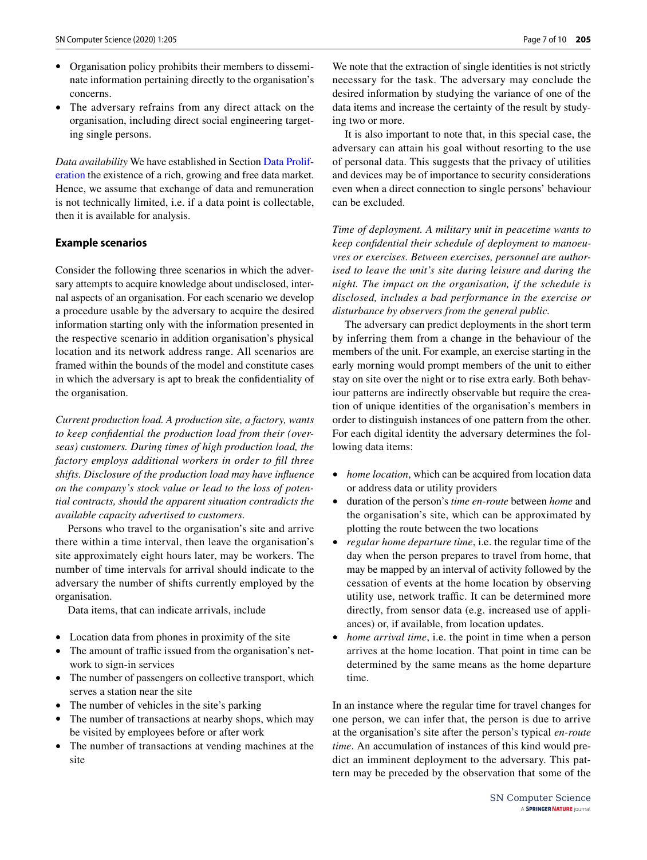- Organisation policy prohibits their members to disseminate information pertaining directly to the organisation's concerns.
- The adversary refrains from any direct attack on the organisation, including direct social engineering targeting single persons.

*Data availability* We have established in Section [Data Prolif](#page-1-2)[eration](#page-1-2) the existence of a rich, growing and free data market. Hence, we assume that exchange of data and remuneration is not technically limited, i.e. if a data point is collectable, then it is available for analysis.

### <span id="page-6-0"></span>**Example scenarios**

Consider the following three scenarios in which the adversary attempts to acquire knowledge about undisclosed, internal aspects of an organisation. For each scenario we develop a procedure usable by the adversary to acquire the desired information starting only with the information presented in the respective scenario in addition organisation's physical location and its network address range. All scenarios are framed within the bounds of the model and constitute cases in which the adversary is apt to break the confdentiality of the organisation.

*Current production load. A production site, a factory, wants to keep confdential the production load from their (overseas) customers. During times of high production load, the factory employs additional workers in order to fll three shifts. Disclosure of the production load may have infuence on the company's stock value or lead to the loss of potential contracts, should the apparent situation contradicts the available capacity advertised to customers.*

Persons who travel to the organisation's site and arrive there within a time interval, then leave the organisation's site approximately eight hours later, may be workers. The number of time intervals for arrival should indicate to the adversary the number of shifts currently employed by the organisation.

Data items, that can indicate arrivals, include

- Location data from phones in proximity of the site
- The amount of traffic issued from the organisation's network to sign-in services
- The number of passengers on collective transport, which serves a station near the site
- The number of vehicles in the site's parking
- The number of transactions at nearby shops, which may be visited by employees before or after work
- The number of transactions at vending machines at the site

We note that the extraction of single identities is not strictly necessary for the task. The adversary may conclude the desired information by studying the variance of one of the data items and increase the certainty of the result by studying two or more.

It is also important to note that, in this special case, the adversary can attain his goal without resorting to the use of personal data. This suggests that the privacy of utilities and devices may be of importance to security considerations even when a direct connection to single persons' behaviour can be excluded.

*Time of deployment. A military unit in peacetime wants to keep confdential their schedule of deployment to manoeuvres or exercises. Between exercises, personnel are authorised to leave the unit's site during leisure and during the night. The impact on the organisation, if the schedule is disclosed, includes a bad performance in the exercise or disturbance by observers from the general public.*

The adversary can predict deployments in the short term by inferring them from a change in the behaviour of the members of the unit. For example, an exercise starting in the early morning would prompt members of the unit to either stay on site over the night or to rise extra early. Both behaviour patterns are indirectly observable but require the creation of unique identities of the organisation's members in order to distinguish instances of one pattern from the other. For each digital identity the adversary determines the following data items:

- *home location*, which can be acquired from location data or address data or utility providers
- duration of the person's *time en-route* between *home* and the organisation's site, which can be approximated by plotting the route between the two locations
- *regular home departure time*, i.e. the regular time of the day when the person prepares to travel from home, that may be mapped by an interval of activity followed by the cessation of events at the home location by observing utility use, network traffic. It can be determined more directly, from sensor data (e.g. increased use of appliances) or, if available, from location updates.
- *home arrival time*, i.e. the point in time when a person arrives at the home location. That point in time can be determined by the same means as the home departure time.

In an instance where the regular time for travel changes for one person, we can infer that, the person is due to arrive at the organisation's site after the person's typical *en-route time*. An accumulation of instances of this kind would predict an imminent deployment to the adversary. This pattern may be preceded by the observation that some of the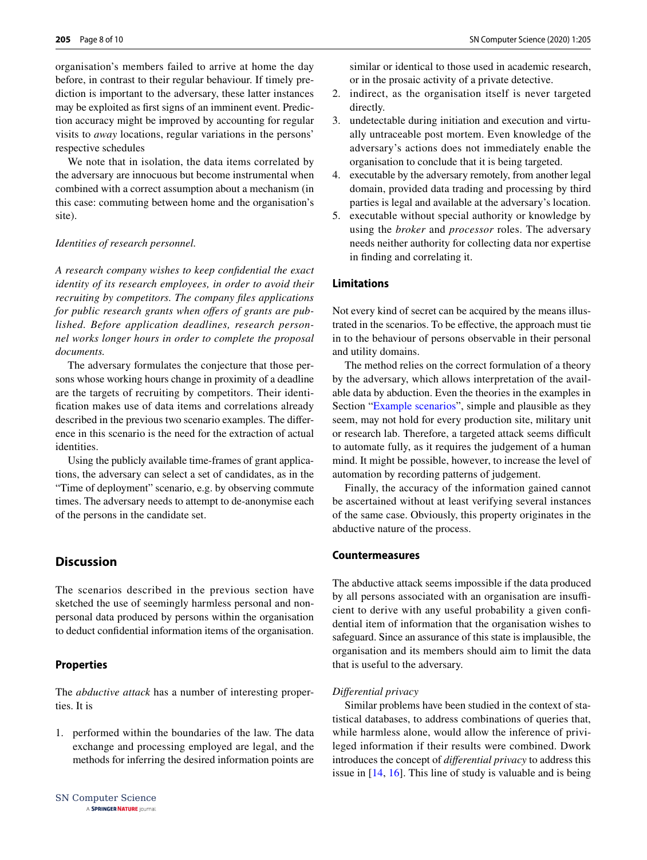**205** Page 8 of 10 **Page 8 of 10** SN Computer Science (2020) 1:205

organisation's members failed to arrive at home the day before, in contrast to their regular behaviour. If timely prediction is important to the adversary, these latter instances may be exploited as frst signs of an imminent event. Prediction accuracy might be improved by accounting for regular visits to *away* locations, regular variations in the persons' respective schedules

We note that in isolation, the data items correlated by the adversary are innocuous but become instrumental when combined with a correct assumption about a mechanism (in this case: commuting between home and the organisation's site).

### *Identities of research personnel.*

*A research company wishes to keep confdential the exact identity of its research employees, in order to avoid their recruiting by competitors. The company fles applications for public research grants when ofers of grants are published. Before application deadlines, research personnel works longer hours in order to complete the proposal documents.*

The adversary formulates the conjecture that those persons whose working hours change in proximity of a deadline are the targets of recruiting by competitors. Their identifcation makes use of data items and correlations already described in the previous two scenario examples. The diference in this scenario is the need for the extraction of actual identities.

Using the publicly available time-frames of grant applications, the adversary can select a set of candidates, as in the "Time of deployment" scenario, e.g. by observing commute times. The adversary needs to attempt to de-anonymise each of the persons in the candidate set.

### <span id="page-7-0"></span>**Discussion**

The scenarios described in the previous section have sketched the use of seemingly harmless personal and nonpersonal data produced by persons within the organisation to deduct confdential information items of the organisation.

### **Properties**

The *abductive attack* has a number of interesting properties. It is

1. performed within the boundaries of the law. The data exchange and processing employed are legal, and the methods for inferring the desired information points are similar or identical to those used in academic research, or in the prosaic activity of a private detective.

- 2. indirect, as the organisation itself is never targeted directly.
- 3. undetectable during initiation and execution and virtually untraceable post mortem. Even knowledge of the adversary's actions does not immediately enable the organisation to conclude that it is being targeted.
- 4. executable by the adversary remotely, from another legal domain, provided data trading and processing by third parties is legal and available at the adversary's location.
- 5. executable without special authority or knowledge by using the *broker* and *processor* roles. The adversary needs neither authority for collecting data nor expertise in fnding and correlating it.

### **Limitations**

Not every kind of secret can be acquired by the means illustrated in the scenarios. To be efective, the approach must tie in to the behaviour of persons observable in their personal and utility domains.

The method relies on the correct formulation of a theory by the adversary, which allows interpretation of the available data by abduction. Even the theories in the examples in Section "[Example scenarios"](#page-6-0), simple and plausible as they seem, may not hold for every production site, military unit or research lab. Therefore, a targeted attack seems difficult to automate fully, as it requires the judgement of a human mind. It might be possible, however, to increase the level of automation by recording patterns of judgement.

Finally, the accuracy of the information gained cannot be ascertained without at least verifying several instances of the same case. Obviously, this property originates in the abductive nature of the process.

### **Countermeasures**

The abductive attack seems impossible if the data produced by all persons associated with an organisation are insufficient to derive with any useful probability a given confdential item of information that the organisation wishes to safeguard. Since an assurance of this state is implausible, the organisation and its members should aim to limit the data that is useful to the adversary.

#### *Diferential privacy*

Similar problems have been studied in the context of statistical databases, to address combinations of queries that, while harmless alone, would allow the inference of privileged information if their results were combined. Dwork introduces the concept of *diferential privacy* to address this issue in [[14,](#page-9-13) [16\]](#page-9-14). This line of study is valuable and is being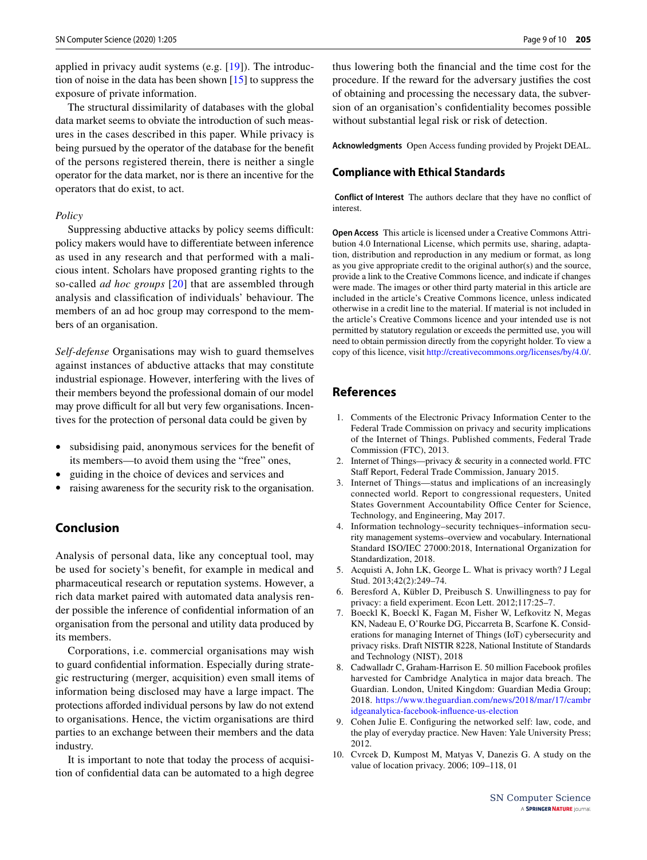applied in privacy audit systems (e.g. [[19](#page-9-15)]). The introduction of noise in the data has been shown [[15\]](#page-9-16) to suppress the exposure of private information.

The structural dissimilarity of databases with the global data market seems to obviate the introduction of such measures in the cases described in this paper. While privacy is being pursued by the operator of the database for the beneft of the persons registered therein, there is neither a single operator for the data market, nor is there an incentive for the operators that do exist, to act.

### *Policy*

Suppressing abductive attacks by policy seems difficult: policy makers would have to diferentiate between inference as used in any research and that performed with a malicious intent. Scholars have proposed granting rights to the so-called *ad hoc groups* [[20\]](#page-9-17) that are assembled through analysis and classifcation of individuals' behaviour. The members of an ad hoc group may correspond to the members of an organisation.

*Self-defense* Organisations may wish to guard themselves against instances of abductive attacks that may constitute industrial espionage. However, interfering with the lives of their members beyond the professional domain of our model may prove difficult for all but very few organisations. Incentives for the protection of personal data could be given by

- subsidising paid, anonymous services for the benefit of its members—to avoid them using the "free" ones,
- guiding in the choice of devices and services and
- raising awareness for the security risk to the organisation.

# <span id="page-8-2"></span>**Conclusion**

Analysis of personal data, like any conceptual tool, may be used for society's beneft, for example in medical and pharmaceutical research or reputation systems. However, a rich data market paired with automated data analysis render possible the inference of confdential information of an organisation from the personal and utility data produced by its members.

Corporations, i.e. commercial organisations may wish to guard confdential information. Especially during strategic restructuring (merger, acquisition) even small items of information being disclosed may have a large impact. The protections aforded individual persons by law do not extend to organisations. Hence, the victim organisations are third parties to an exchange between their members and the data industry.

It is important to note that today the process of acquisition of confdential data can be automated to a high degree thus lowering both the fnancial and the time cost for the procedure. If the reward for the adversary justifes the cost of obtaining and processing the necessary data, the subversion of an organisation's confdentiality becomes possible without substantial legal risk or risk of detection.

**Acknowledgments** Open Access funding provided by Projekt DEAL.

### **Compliance with Ethical Standards**

 **Conflict of Interest** The authors declare that they have no confict of interest.

**Open Access** This article is licensed under a Creative Commons Attribution 4.0 International License, which permits use, sharing, adaptation, distribution and reproduction in any medium or format, as long as you give appropriate credit to the original author(s) and the source, provide a link to the Creative Commons licence, and indicate if changes were made. The images or other third party material in this article are included in the article's Creative Commons licence, unless indicated otherwise in a credit line to the material. If material is not included in the article's Creative Commons licence and your intended use is not permitted by statutory regulation or exceeds the permitted use, you will need to obtain permission directly from the copyright holder. To view a copy of this licence, visit<http://creativecommons.org/licenses/by/4.0/>.

## **References**

- <span id="page-8-4"></span>1. Comments of the Electronic Privacy Information Center to the Federal Trade Commission on privacy and security implications of the Internet of Things. Published comments, Federal Trade Commission (FTC), 2013.
- 2. Internet of Things—privacy & security in a connected world. FTC Staff Report, Federal Trade Commission, January 2015.
- <span id="page-8-5"></span>3. Internet of Things—status and implications of an increasingly connected world. Report to congressional requesters, United States Government Accountability Office Center for Science, Technology, and Engineering, May 2017.
- <span id="page-8-0"></span>4. Information technology–security techniques–information security management systems–overview and vocabulary. International Standard ISO/IEC 27000:2018, International Organization for Standardization, 2018.
- <span id="page-8-9"></span>5. Acquisti A, John LK, George L. What is privacy worth? J Legal Stud. 2013;42(2):249–74.
- <span id="page-8-8"></span>6. Beresford A, Kübler D, Preibusch S. Unwillingness to pay for privacy: a feld experiment. Econ Lett. 2012;117:25–7.
- <span id="page-8-6"></span>7. Boeckl K, Boeckl K, Fagan M, Fisher W, Lefkovitz N, Megas KN, Nadeau E, O'Rourke DG, Piccarreta B, Scarfone K. Considerations for managing Internet of Things (IoT) cybersecurity and privacy risks. Draft NISTIR 8228, National Institute of Standards and Technology (NIST), 2018
- <span id="page-8-3"></span>8. Cadwalladr C, Graham-Harrison E. 50 million Facebook profles harvested for Cambridge Analytica in major data breach. The Guardian. London, United Kingdom: Guardian Media Group; 2018. [https://www.theguardian.com/news/2018/mar/17/cambr](https://www.theguardian.com/news/2018/mar/17/cambridgeanalytica-facebook-influence-us-election) [idgeanalytica-facebook-infuence-us-election](https://www.theguardian.com/news/2018/mar/17/cambridgeanalytica-facebook-influence-us-election)
- <span id="page-8-1"></span>9. Cohen Julie E. Confguring the networked self: law, code, and the play of everyday practice. New Haven: Yale University Press; 2012.
- <span id="page-8-7"></span>10. Cvrcek D, Kumpost M, Matyas V, Danezis G. A study on the value of location privacy. 2006; 109–118, 01